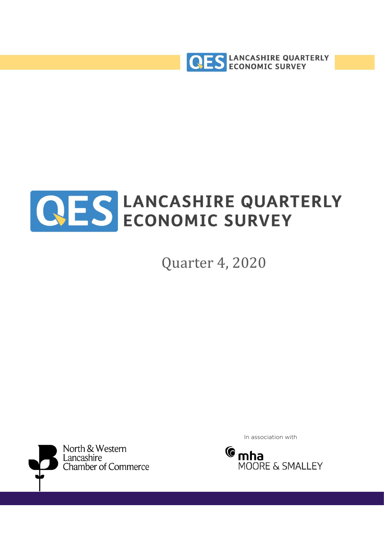



Quarter 4, 2020



In association with

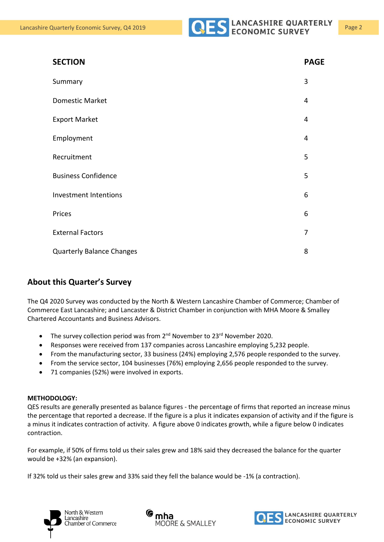| <b>SECTION</b>                   | <b>PAGE</b> |
|----------------------------------|-------------|
| Summary                          | 3           |
| <b>Domestic Market</b>           | 4           |
| <b>Export Market</b>             | 4           |
| Employment                       | 4           |
| Recruitment                      | 5           |
| <b>Business Confidence</b>       | 5           |
| Investment Intentions            | 6           |
| Prices                           | 6           |
| <b>External Factors</b>          | 7           |
| <b>Quarterly Balance Changes</b> | 8           |

## **About this Quarter's Survey**

The Q4 2020 Survey was conducted by the North & Western Lancashire Chamber of Commerce; Chamber of Commerce East Lancashire; and Lancaster & District Chamber in conjunction with MHA Moore & Smalley Chartered Accountants and Business Advisors.

- The survey collection period was from  $2^{nd}$  November to  $23^{rd}$  November 2020.
- Responses were received from 137 companies across Lancashire employing 5,232 people.
- From the manufacturing sector, 33 business (24%) employing 2,576 people responded to the survey.
- From the service sector, 104 businesses (76%) employing 2,656 people responded to the survey.
- 71 companies (52%) were involved in exports.

#### **METHODOLOGY:**

QES results are generally presented as balance figures - the percentage of firms that reported an increase minus the percentage that reported a decrease. If the figure is a plus it indicates expansion of activity and if the figure is a minus it indicates contraction of activity. A figure above 0 indicates growth, while a figure below 0 indicates contraction.

For example, if 50% of firms told us their sales grew and 18% said they decreased the balance for the quarter would be +32% (an expansion).

If 32% told us their sales grew and 33% said they fell the balance would be -1% (a contraction).





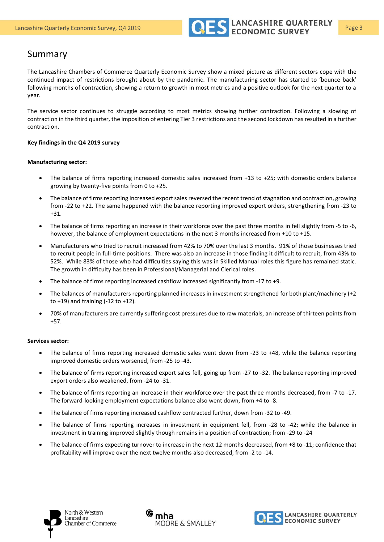

The Lancashire Chambers of Commerce Quarterly Economic Survey show a mixed picture as different sectors cope with the continued impact of restrictions brought about by the pandemic. The manufacturing sector has started to 'bounce back' following months of contraction, showing a return to growth in most metrics and a positive outlook for the next quarter to a year.

The service sector continues to struggle according to most metrics showing further contraction. Following a slowing of contraction in the third quarter, the imposition of entering Tier 3 restrictions and the second lockdown has resulted in a further contraction.

#### **Key findings in the Q4 2019 survey**

#### **Manufacturing sector:**

- The balance of firms reporting increased domestic sales increased from +13 to +25; with domestic orders balance growing by twenty-five points from 0 to +25.
- The balance of firms reporting increased export sales reversed the recent trend of stagnation and contraction, growing from -22 to +22. The same happened with the balance reporting improved export orders, strengthening from -23 to +31.
- The balance of firms reporting an increase in their workforce over the past three months in fell slightly from -5 to -6, however, the balance of employment expectations in the next 3 months increased from +10 to +15.
- Manufacturers who tried to recruit increased from 42% to 70% over the last 3 months. 91% of those businesses tried to recruit people in full-time positions. There was also an increase in those finding it difficult to recruit, from 43% to 52%. While 83% of those who had difficulties saying this was in Skilled Manual roles this figure has remained static. The growth in difficulty has been in Professional/Managerial and Clerical roles.
- The balance of firms reporting increased cashflow increased significantly from -17 to +9.
- The balances of manufacturers reporting planned increases in investment strengthened for both plant/machinery (+2) to  $+19$ ) and training  $(-12 \text{ to } +12)$ .
- 70% of manufacturers are currently suffering cost pressures due to raw materials, an increase of thirteen points from +57.

#### **Services sector:**

- The balance of firms reporting increased domestic sales went down from -23 to +48, while the balance reporting improved domestic orders worsened, from -25 to -43.
- The balance of firms reporting increased export sales fell, going up from -27 to -32. The balance reporting improved export orders also weakened, from -24 to -31.
- The balance of firms reporting an increase in their workforce over the past three months decreased, from -7 to -17. The forward-looking employment expectations balance also went down, from +4 to -8.
- The balance of firms reporting increased cashflow contracted further, down from -32 to -49.
- The balance of firms reporting increases in investment in equipment fell, from -28 to -42; while the balance in investment in training improved slightly though remains in a position of contraction; from -29 to -24
- The balance of firms expecting turnover to increase in the next 12 months decreased, from +8 to -11; confidence that profitability will improve over the next twelve months also decreased, from -2 to -14.





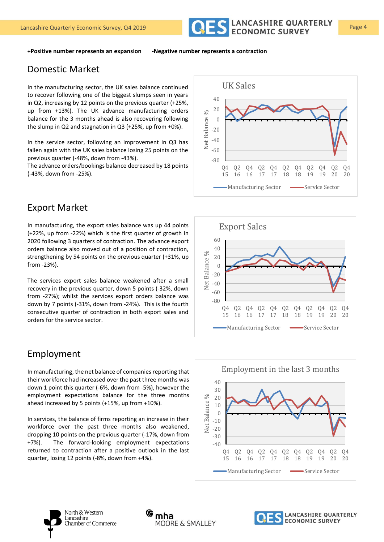

**+Positive number represents an expansion -Negative number represents a contraction**

## Domestic Market

In the manufacturing sector, the UK sales balance continued to recover following one of the biggest slumps seen in years in Q2, increasing by 12 points on the previous quarter (+25%, up from +13%). The UK advance manufacturing orders balance for the 3 months ahead is also recovering following the slump in Q2 and stagnation in Q3 (+25%, up from +0%).

In the service sector, following an improvement in Q3 has fallen again with the UK sales balance losing 25 points on the previous quarter (-48%, down from -43%).

The advance orders/bookings balance decreased by 18 points (-43%, down from -25%).

# Export Market

In manufacturing, the export sales balance was up 44 points (+22%, up from -22%) which is the first quarter of growth in 2020 following 3 quarters of contraction. The advance export orders balance also moved out of a position of contraction, strengthening by 54 points on the previous quarter (+31%, up from -23%).

The services export sales balance weakened after a small recovery in the previous quarter, down 5 points (-32%, down from -27%); whilst the services export orders balance was down by 7 points (-31%, down from -24%). This is the fourth consecutive quarter of contraction in both export sales and orders for the service sector.

## Employment

In manufacturing, the net balance of companies reporting that their workforce had increased over the past three months was down 1 point this quarter (-6%, down from -5%), however the employment expectations balance for the three months ahead increased by 5 points (+15%, up from +10%).

In services, the balance of firms reporting an increase in their workforce over the past three months also weakened, dropping 10 points on the previous quarter (-17%, down from +7%). The forward-looking employment expectations returned to contraction after a positive outlook in the last quarter, losing 12 points (-8%, down from +4%).









North & Western Lancashire Chamber of Commerce



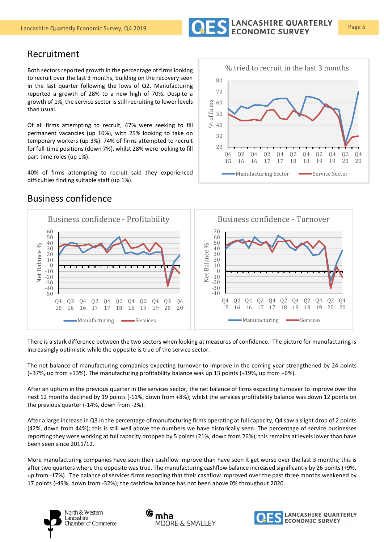

## Recruitment

Both sectors reported growth in the percentage of firms looking to recruit over the last 3 months, building on the recovery seen in the last quarter following the lows of Q2. Manufacturing reported a growth of 28% to a new high of 70%. Despite a growth of 1%, the service sector is still recruiting to lower levels than usual.

Of all firms attempting to recruit, 47% were seeking to fill permanent vacancies (up 16%), with 25% looking to take on temporary workers (up 3%). 74% of firms attempted to recruit for full-time positions (down 7%), whilst 28% were looking to fill part-time roles (up 1%).

40% of firms attempting to recruit said they experienced difficulties finding suitable staff (up 1%).



## Business confidence



There is a stark difference between the two sectors when looking at measures of confidence. The picture for manufacturing is increasingly optimistic while the opposite is true of the service sector.

The net balance of manufacturing companies expecting turnover to improve in the coming year strengthened by 24 points (+37%, up from +13%). The manufacturing profitability balance was up 13 points (+19%, up from +6%).

After an upturn in the previous quarter in the services sector, the net balance of firms expecting turnover to improve over the next 12 months declined by 19 points (-11%, down from +8%); whilst the services profitability balance was down 12 points on the previous quarter (-14%, down from -2%).

After a large increase in Q3 in the percentage of manufacturing firms operating at full capacity, Q4 saw a slight drop of 2 points (42%, down from 44%); this is still well above the numbers we have historically seen. The percentage of service businesses reporting they were working at full capacity dropped by 5 points (21%, down from 26%); this remains at levels lower than have been seen since 2011/12.

More manufacturing companies have seen their cashflow improve than have seen it get worse over the last 3 months; this is after two quarters where the opposite was true. The manufacturing cashflow balance increased significantly by 26 points (+9%, up from -17%). The balance of services firms reporting that their cashflow improved over the past three months weakened by 17 points (-49%, down from -32%); the cashflow balance has not been above 0% throughout 2020.





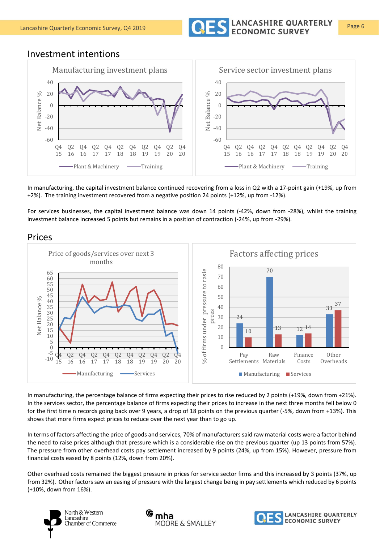

## Investment intentions



In manufacturing, the capital investment balance continued recovering from a loss in Q2 with a 17-point gain (+19%, up from +2%). The training investment recovered from a negative position 24 points (+12%, up from -12%).

For services businesses, the capital investment balance was down 14 points (-42%, down from -28%), whilst the training investment balance increased 5 points but remains in a position of contraction (-24%, up from -29%).

### Prices



In manufacturing, the percentage balance of firms expecting their prices to rise reduced by 2 points (+19%, down from +21%). In the services sector, the percentage balance of firms expecting their prices to increase in the next three months fell below 0 for the first time n records going back over 9 years, a drop of 18 points on the previous quarter (-5%, down from +13%). This shows that more firms expect prices to reduce over the next year than to go up.

In terms of factors affecting the price of goods and services, 70% of manufacturers said raw material costs were a factor behind the need to raise prices although that pressure which is a considerable rise on the previous quarter (up 13 points from 57%). The pressure from other overhead costs pay settlement increased by 9 points (24%, up from 15%). However, pressure from financial costs eased by 8 points (12%, down from 20%).

Other overhead costs remained the biggest pressure in prices for service sector firms and this increased by 3 points (37%, up from 32%). Other factors saw an easing of pressure with the largest change being in pay settlements which reduced by 6 points (+10%, down from 16%).





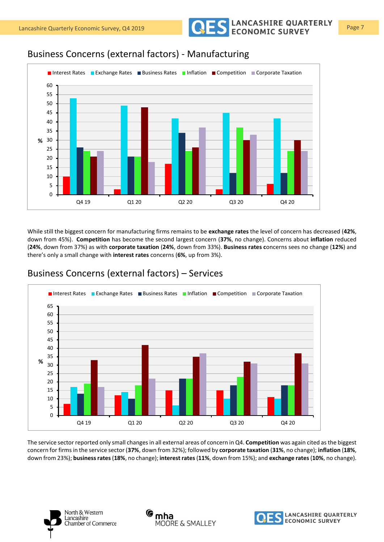Lancashire Quarterly Economic Survey, Q4 2019 **Page 7** COLOR CONOMIC SURVEY Page 7



While still the biggest concern for manufacturing firms remains to be **exchange rates** the level of concern has decreased (**42%**, down from 45%). **Competition** has become the second largest concern (**37%**, no change). Concerns about **inflation** reduced (**24%**, down from 37%) as with **corporate taxation** (**24%**, down from 33%). **Business rates c**oncerns sees no change (**12%**) and there's only a small change with **interest rates** concerns (**6%**, up from 3%).

### Q4 19 Q1 20 Q2 20 Q3 20 Q4 20 **% ■ Interest Rates ■ Exchange Rates ■ Business Rates ■ Inflation ■ Competition ■ Corporate Taxation**

Business Concerns (external factors) – Services

The service sector reported only small changes in all external areas of concern in Q4. **Competition** was again cited as the biggest concern for firms in the service sector (**37%**, down from 32%); followed by **corporate taxation** (**31%**, no change); **inflation** (**18%**, down from 23%); **business rates**(**18%**, no change); **interest rates**(**11%**, down from 15%); and **exchange rates**(**10%**, no change).





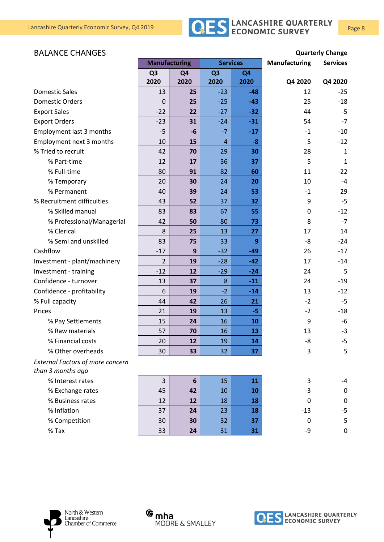

### BALANCE CHANGES **Quarterly Change**

|                                         | <b>Manufacturing</b> |                 | <b>Services</b> |                | <b>Manufacturing</b> | <b>Services</b> |
|-----------------------------------------|----------------------|-----------------|-----------------|----------------|----------------------|-----------------|
|                                         | Q <sub>3</sub>       | Q4              | Q <sub>3</sub>  | Q <sub>4</sub> |                      |                 |
|                                         | 2020                 | 2020            | 2020            | 2020           | Q4 2020              | Q4 2020         |
| <b>Domestic Sales</b>                   | 13                   | 25              | $-23$           | $-48$          | 12                   | $-25$           |
| <b>Domestic Orders</b>                  | $\mathbf 0$          | 25              | $-25$           | $-43$          | 25                   | $-18$           |
| <b>Export Sales</b>                     | $-22$                | 22              | $-27$           | $-32$          | 44                   | $-5$            |
| <b>Export Orders</b>                    | $-23$                | 31              | $-24$           | $-31$          | 54                   | $-7$            |
| <b>Employment last 3 months</b>         | $-5$                 | $-6$            | $-7$            | $-17$          | $-1$                 | $-10$           |
| Employment next 3 months                | 10                   | 15              | $\overline{4}$  | $-8$           | 5                    | $-12$           |
| % Tried to recruit                      | 42                   | 70              | 29              | 30             | 28                   | $\mathbf{1}$    |
| % Part-time                             | 12                   | 17              | 36              | 37             | 5                    | $\mathbf{1}$    |
| % Full-time                             | 80                   | 91              | 82              | 60             | 11                   | $-22$           |
| % Temporary                             | 20                   | 30              | 24              | 20             | 10                   | $-4$            |
| % Permanent                             | 40                   | 39              | 24              | 53             | $-1$                 | 29              |
| % Recruitment difficulties              | 43                   | 52              | 37              | 32             | 9                    | $-5$            |
| % Skilled manual                        | 83                   | 83              | 67              | 55             | 0                    | $-12$           |
| % Professional/Managerial               | 42                   | 50              | 80              | 73             | 8                    | $-7$            |
| % Clerical                              | 8                    | 25              | 13              | 27             | 17                   | 14              |
| % Semi and unskilled                    | 83                   | 75              | 33              | 9              | -8                   | $-24$           |
| Cashflow                                | $-17$                | 9               | $-32$           | $-49$          | 26                   | $-17$           |
| Investment - plant/machinery            | $\overline{2}$       | 19              | $-28$           | $-42$          | 17                   | $-14$           |
| Investment - training                   | $-12$                | 12              | $-29$           | $-24$          | 24                   | 5               |
| Confidence - turnover                   | 13                   | 37              | 8               | $-11$          | 24                   | $-19$           |
| Confidence - profitability              | 6                    | 19              | $-2$            | $-14$          | 13                   | $-12$           |
| % Full capacity                         | 44                   | 42              | 26              | 21             | $-2$                 | -5              |
| Prices                                  | 21                   | 19              | 13              | $-5$           | $-2$                 | $-18$           |
| % Pay Settlements                       | 15                   | 24              | 16              | 10             | 9                    | -6              |
| % Raw materials                         | 57                   | 70              | 16              | 13             | 13                   | $-3$            |
| % Financial costs                       | 20                   | 12              | 19              | 14             | -8                   | $-5$            |
| % Other overheads                       | 30                   | 33              | 32              | 37             | 3                    | 5               |
| <b>External Factors of more concern</b> |                      |                 |                 |                |                      |                 |
| than 3 months ago                       |                      |                 |                 |                |                      |                 |
| % Interest rates                        | 3                    | $6\phantom{1}6$ | 15              | 11             | 3                    | -4              |
| % Exchange rates                        | 45                   | 42              | 10              | 10             | -3                   | $\mathbf 0$     |
| % Business rates                        | 12                   | 12              | 18              | 18             | 0                    | $\mathbf 0$     |
| % Inflation                             | 37                   | 24              | 23              | 18             | $-13$                | $-5$            |
| % Competition                           | 30                   | 30              | 32              | 37             | $\Omega$             | 5               |
| $%$ Tax                                 | 33                   | 24              | 31              | 31             | -9                   | $\mathbf 0$     |